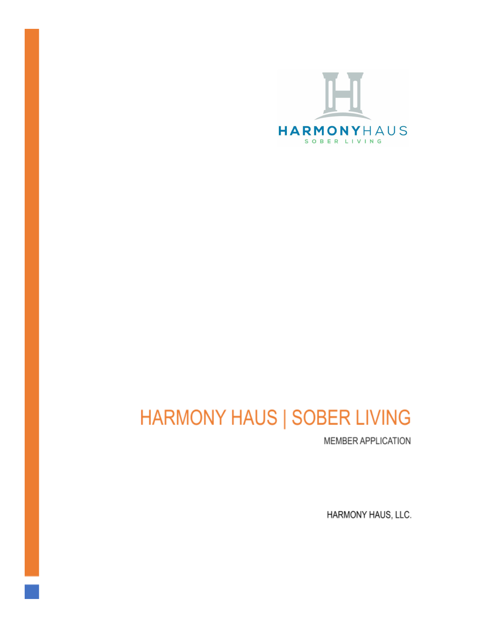

# **HARMONY HAUS | SOBER LIVING**

MEMBER APPLICATION

HARMONY HAUS, LLC.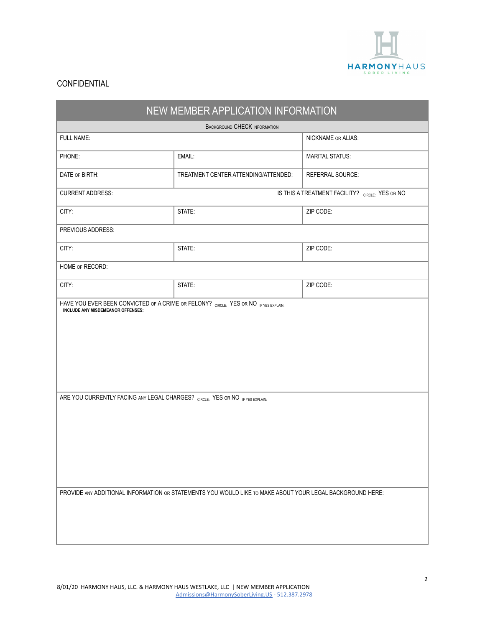

| NEW MEMBER APPLICATION INFORMATION                                                                        |                                                 |                        |  |  |
|-----------------------------------------------------------------------------------------------------------|-------------------------------------------------|------------------------|--|--|
| <b>BACKGROUND CHECK INFORMATION</b>                                                                       |                                                 |                        |  |  |
| FULL NAME:                                                                                                |                                                 | NICKNAME OR ALIAS:     |  |  |
| PHONE:                                                                                                    | EMAIL:                                          | <b>MARITAL STATUS:</b> |  |  |
| DATE OF BIRTH:                                                                                            | TREATMENT CENTER ATTENDING/ATTENDED:            | REFERRAL SOURCE:       |  |  |
| <b>CURRENT ADDRESS:</b>                                                                                   | IS THIS A TREATMENT FACILITY? CIRCLE: YES OR NO |                        |  |  |
| CITY:                                                                                                     | STATE:                                          | ZIP CODE:              |  |  |
| PREVIOUS ADDRESS:                                                                                         |                                                 |                        |  |  |
| CITY:                                                                                                     | STATE:                                          | ZIP CODE:              |  |  |
| HOME OF RECORD:                                                                                           |                                                 |                        |  |  |
| CITY:                                                                                                     | STATE:                                          | ZIP CODE:              |  |  |
|                                                                                                           |                                                 |                        |  |  |
| ARE YOU CURRENTLY FACING ANY LEGAL CHARGES? CIRCLE: YES OR NO IF YES EXPLAIN:                             |                                                 |                        |  |  |
| PROVIDE ANY ADDITIONAL INFORMATION OR STATEMENTS YOU WOULD LIKE TO MAKE ABOUT YOUR LEGAL BACKGROUND HERE: |                                                 |                        |  |  |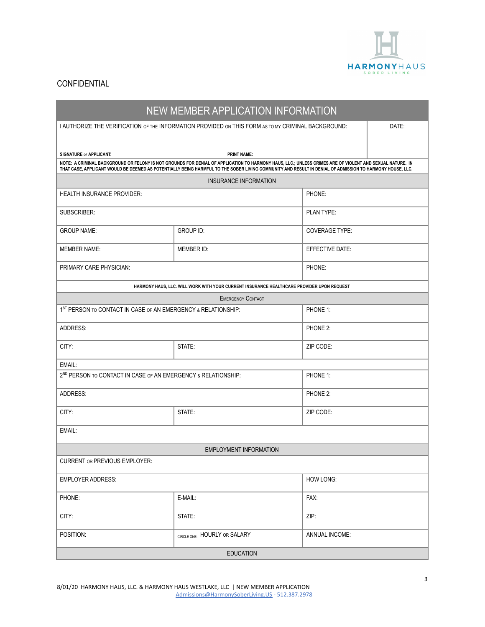

| NEW MEMBER APPLICATION INFORMATION                                                    |                                                                                                                                                                                |                       |       |  |  |
|---------------------------------------------------------------------------------------|--------------------------------------------------------------------------------------------------------------------------------------------------------------------------------|-----------------------|-------|--|--|
|                                                                                       | I AUTHORIZE THE VERIFICATION OF THE INFORMATION PROVIDED ON THIS FORM AS TO MY CRIMINAL BACKGROUND:                                                                            |                       | DATE: |  |  |
|                                                                                       |                                                                                                                                                                                |                       |       |  |  |
| SIGNATURE or APPLICANT:                                                               | <b>PRINT NAME:</b><br>NOTE: A CRIMINAL BACKGROUND OR FELONY IS NOT GROUNDS FOR DENIAL OF APPLICATION TO HARMONY HAUS, LLC.; UNLESS CRIMES ARE OF VIOLENT AND SEXUAL NATURE. IN |                       |       |  |  |
|                                                                                       | THAT CASE, APPLICANT WOULD BE DEEMED AS POTENTIALLY BEING HARMFUL TO THE SOBER LIVING COMMUNITY AND RESULT IN DENIAL OF ADMISSION TO HARMONY HOUSE, LLC.                       |                       |       |  |  |
|                                                                                       | INSURANCE INFORMATION                                                                                                                                                          |                       |       |  |  |
| <b>HEALTH INSURANCE PROVIDER:</b>                                                     |                                                                                                                                                                                | PHONE:                |       |  |  |
| SUBSCRIBER:                                                                           |                                                                                                                                                                                | PLAN TYPE:            |       |  |  |
| <b>GROUP NAME:</b>                                                                    | <b>GROUP ID:</b>                                                                                                                                                               | <b>COVERAGE TYPE:</b> |       |  |  |
| <b>MEMBER NAME:</b>                                                                   | MEMBER ID:                                                                                                                                                                     | EFFECTIVE DATE:       |       |  |  |
| PRIMARY CARE PHYSICIAN:                                                               | PHONE:                                                                                                                                                                         |                       |       |  |  |
|                                                                                       | HARMONY HAUS, LLC. WILL WORK WITH YOUR CURRENT INSURANCE HEALTHCARE PROVIDER UPON REQUEST                                                                                      |                       |       |  |  |
|                                                                                       | <b>EMERGENCY CONTACT</b>                                                                                                                                                       |                       |       |  |  |
| 1 <sup>ST</sup> PERSON TO CONTACT IN CASE OF AN EMERGENCY & RELATIONSHIP:<br>PHONE 1: |                                                                                                                                                                                |                       |       |  |  |
| ADDRESS:                                                                              |                                                                                                                                                                                | PHONE 2:              |       |  |  |
| CITY:                                                                                 | STATE:                                                                                                                                                                         | ZIP CODE:             |       |  |  |
| EMAIL:                                                                                |                                                                                                                                                                                |                       |       |  |  |
| 2 <sup>ND</sup> PERSON TO CONTACT IN CASE OF AN EMERGENCY & RELATIONSHIP:             |                                                                                                                                                                                | PHONE 1:              |       |  |  |
| ADDRESS:                                                                              |                                                                                                                                                                                | PHONE 2:              |       |  |  |
| CITY:                                                                                 | STATE:                                                                                                                                                                         | ZIP CODE:             |       |  |  |
| EMAIL:                                                                                |                                                                                                                                                                                |                       |       |  |  |
| <b>EMPLOYMENT INFORMATION</b>                                                         |                                                                                                                                                                                |                       |       |  |  |
| <b>CURRENT OR PREVIOUS EMPLOYER:</b>                                                  |                                                                                                                                                                                |                       |       |  |  |
| <b>EMPLOYER ADDRESS:</b>                                                              |                                                                                                                                                                                | HOW LONG:             |       |  |  |
| PHONE:                                                                                | E-MAIL:                                                                                                                                                                        | FAX:                  |       |  |  |
| CITY:                                                                                 | STATE:                                                                                                                                                                         | ZIP:                  |       |  |  |
| POSITION:                                                                             | CIRCLE ONE: HOURLY OR SALARY                                                                                                                                                   | <b>ANNUAL INCOME:</b> |       |  |  |
| <b>EDUCATION</b>                                                                      |                                                                                                                                                                                |                       |       |  |  |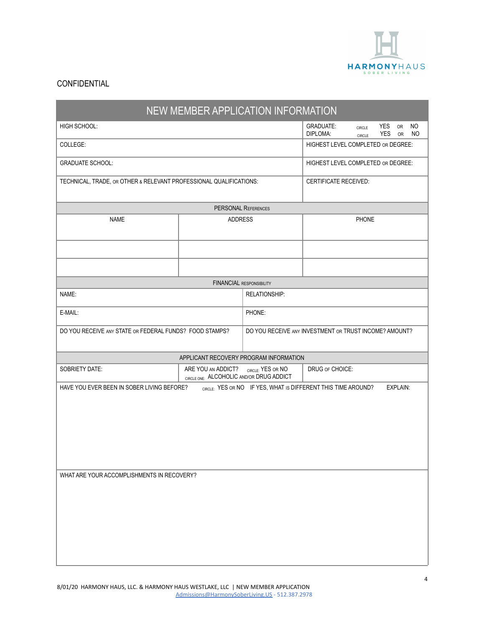

| NEW MEMBER APPLICATION INFORMATION                                                                                      |                                        |                                                                                  |                                    |                         |                   |          |                 |
|-------------------------------------------------------------------------------------------------------------------------|----------------------------------------|----------------------------------------------------------------------------------|------------------------------------|-------------------------|-------------------|----------|-----------------|
| HIGH SCHOOL:                                                                                                            |                                        |                                                                                  | <b>GRADUATE:</b><br>DIPLOMA:       | <b>CIRCLE</b><br>CIRCLE | YES<br><b>YES</b> | OR<br>OR | <b>NO</b><br>NO |
| COLLEGE:                                                                                                                |                                        |                                                                                  | HIGHEST LEVEL COMPLETED OR DEGREE: |                         |                   |          |                 |
| <b>GRADUATE SCHOOL:</b>                                                                                                 |                                        |                                                                                  | HIGHEST LEVEL COMPLETED OR DEGREE: |                         |                   |          |                 |
| TECHNICAL, TRADE, OR OTHER & RELEVANT PROFESSIONAL QUALIFICATIONS:                                                      |                                        | <b>CERTIFICATE RECEIVED:</b>                                                     |                                    |                         |                   |          |                 |
|                                                                                                                         | <b>PERSONAL REFERENCES</b>             |                                                                                  |                                    |                         |                   |          |                 |
| <b>NAME</b>                                                                                                             | <b>ADDRESS</b>                         |                                                                                  | PHONE                              |                         |                   |          |                 |
|                                                                                                                         |                                        |                                                                                  |                                    |                         |                   |          |                 |
|                                                                                                                         |                                        |                                                                                  |                                    |                         |                   |          |                 |
|                                                                                                                         | <b>FINANCIAL RESPONSIBILITY</b>        |                                                                                  |                                    |                         |                   |          |                 |
| NAME:                                                                                                                   |                                        | <b>RELATIONSHIP:</b>                                                             |                                    |                         |                   |          |                 |
| E-MAIL:                                                                                                                 |                                        | PHONE:                                                                           |                                    |                         |                   |          |                 |
| DO YOU RECEIVE ANY STATE OR FEDERAL FUNDS? FOOD STAMPS?                                                                 |                                        | DO YOU RECEIVE ANY INVESTMENT OR TRUST INCOME? AMOUNT?                           |                                    |                         |                   |          |                 |
|                                                                                                                         | APPLICANT RECOVERY PROGRAM INFORMATION |                                                                                  |                                    |                         |                   |          |                 |
| SOBRIETY DATE:                                                                                                          | ARE YOU AN ADDICT?                     | DRUG OF CHOICE:<br>CIRCLE: YES OR NO<br>CIRCLE ONE: ALCOHOLIC AND/OR DRUG ADDICT |                                    |                         |                   |          |                 |
| CIRCLE: YES OR NO IF YES, WHAT IS DIFFERENT THIS TIME AROUND?<br>HAVE YOU EVER BEEN IN SOBER LIVING BEFORE?<br>EXPLAIN: |                                        |                                                                                  |                                    |                         |                   |          |                 |
| WHAT ARE YOUR ACCOMPLISHMENTS IN RECOVERY?                                                                              |                                        |                                                                                  |                                    |                         |                   |          |                 |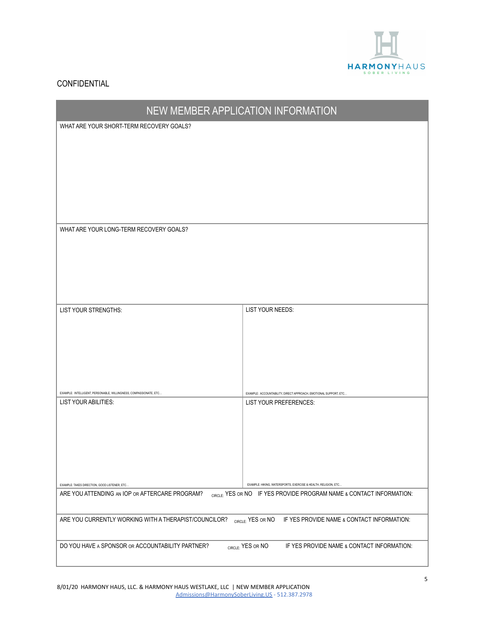

| NEW MEMBER APPLICATION INFORMATION                                                             |                                                                                                                                         |  |
|------------------------------------------------------------------------------------------------|-----------------------------------------------------------------------------------------------------------------------------------------|--|
| WHAT ARE YOUR SHORT-TERM RECOVERY GOALS?                                                       |                                                                                                                                         |  |
|                                                                                                |                                                                                                                                         |  |
|                                                                                                |                                                                                                                                         |  |
|                                                                                                |                                                                                                                                         |  |
|                                                                                                |                                                                                                                                         |  |
|                                                                                                |                                                                                                                                         |  |
|                                                                                                |                                                                                                                                         |  |
| WHAT ARE YOUR LONG-TERM RECOVERY GOALS?                                                        |                                                                                                                                         |  |
|                                                                                                |                                                                                                                                         |  |
|                                                                                                |                                                                                                                                         |  |
|                                                                                                |                                                                                                                                         |  |
|                                                                                                |                                                                                                                                         |  |
|                                                                                                |                                                                                                                                         |  |
| LIST YOUR STRENGTHS:                                                                           | LIST YOUR NEEDS:                                                                                                                        |  |
|                                                                                                |                                                                                                                                         |  |
|                                                                                                |                                                                                                                                         |  |
|                                                                                                |                                                                                                                                         |  |
|                                                                                                |                                                                                                                                         |  |
| EXAMPLE: INTELLIGENT, PERSONABLE, WILLINGNESS, COMPASSIONATE, ETC                              | EXAMPLE: ACCOUNTABILITY, DIRECT APPROACH, EMOTIONAL SUPPORT, ETC                                                                        |  |
| LIST YOUR ABILITIES:                                                                           | LIST YOUR PREFERENCES:                                                                                                                  |  |
|                                                                                                |                                                                                                                                         |  |
|                                                                                                |                                                                                                                                         |  |
|                                                                                                |                                                                                                                                         |  |
|                                                                                                |                                                                                                                                         |  |
|                                                                                                |                                                                                                                                         |  |
| EXAMPLE: TAKES DIRECTION, GOOD LISTENER, ETC<br>ARE YOU ATTENDING AN IOP OR AFTERCARE PROGRAM? | EXAMPLE: HIKING, WATERSPORTS, EXERCISE & HEALTH, RELIGION, ETC.<br>CIRCLE: YES OR NO IF YES PROVIDE PROGRAM NAME & CONTACT INFORMATION: |  |
|                                                                                                |                                                                                                                                         |  |
| ARE YOU CURRENTLY WORKING WITH A THERAPIST/COUNCILOR?                                          | CIRCLE: YES OR NO<br>IF YES PROVIDE NAME & CONTACT INFORMATION:                                                                         |  |
| DO YOU HAVE A SPONSOR OR ACCOUNTABILITY PARTNER?                                               | CIRCLE: YES OR NO<br>IF YES PROVIDE NAME & CONTACT INFORMATION:                                                                         |  |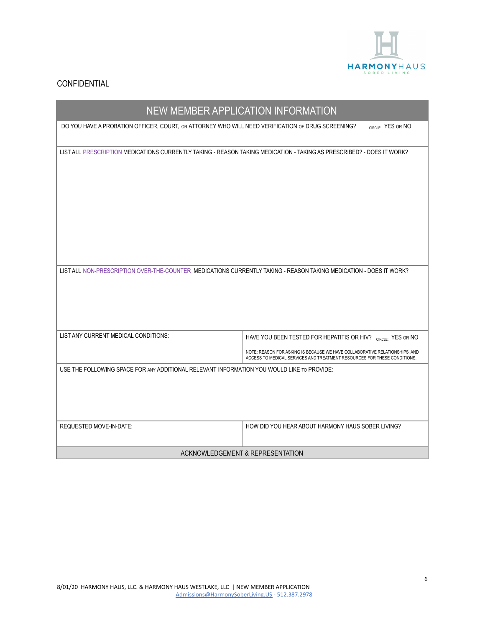

| NEW MEMBER APPLICATION INFORMATION                                                                                    |                                                                             |  |  |
|-----------------------------------------------------------------------------------------------------------------------|-----------------------------------------------------------------------------|--|--|
| DO YOU HAVE A PROBATION OFFICER, COURT, OR ATTORNEY WHO WILL NEED VERIFICATION OF DRUG SCREENING?                     | CIRCLE: YES OR NO                                                           |  |  |
|                                                                                                                       |                                                                             |  |  |
| LIST ALL PRESCRIPTION MEDICATIONS CURRENTLY TAKING - REASON TAKING MEDICATION - TAKING AS PRESCRIBED? - DOES IT WORK? |                                                                             |  |  |
|                                                                                                                       |                                                                             |  |  |
|                                                                                                                       |                                                                             |  |  |
|                                                                                                                       |                                                                             |  |  |
|                                                                                                                       |                                                                             |  |  |
|                                                                                                                       |                                                                             |  |  |
|                                                                                                                       |                                                                             |  |  |
|                                                                                                                       |                                                                             |  |  |
| LIST ALL NON-PRESCRIPTION OVER-THE-COUNTER MEDICATIONS CURRENTLY TAKING - REASON TAKING MEDICATION - DOES IT WORK?    |                                                                             |  |  |
|                                                                                                                       |                                                                             |  |  |
|                                                                                                                       |                                                                             |  |  |
|                                                                                                                       |                                                                             |  |  |
| LIST ANY CURRENT MEDICAL CONDITIONS:                                                                                  | HAVE YOU BEEN TESTED FOR HEPATITIS OR HIV? CIRCLE: YES OR NO                |  |  |
|                                                                                                                       | NOTE: REASON FOR ASKING IS BECAUSE WE HAVE COLLABORATIVE RELATIONSHIPS, AND |  |  |
|                                                                                                                       | ACCESS TO MEDICAL SERVICES AND TREATMENT RESOURCES FOR THESE CONDITIONS.    |  |  |
| USE THE FOLLOWING SPACE FOR ANY ADDITIONAL RELEVANT INFORMATION YOU WOULD LIKE TO PROVIDE:                            |                                                                             |  |  |
|                                                                                                                       |                                                                             |  |  |
|                                                                                                                       |                                                                             |  |  |
| REQUESTED MOVE-IN-DATE:                                                                                               | HOW DID YOU HEAR ABOUT HARMONY HAUS SOBER LIVING?                           |  |  |
|                                                                                                                       |                                                                             |  |  |
| ACKNOWLEDGEMENT & REPRESENTATION                                                                                      |                                                                             |  |  |